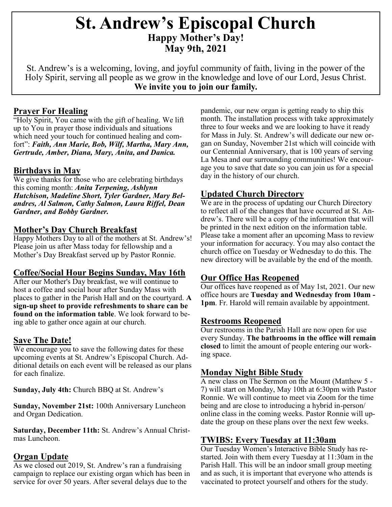# **St. Andrew's Episcopal Church Happy Mother's Day! May 9th, 2021**

St. Andrew's is a welcoming, loving, and joyful community of faith, living in the power of the Holy Spirit, serving all people as we grow in the knowledge and love of our Lord, Jesus Christ. **We invite you to join our family.**

#### **Prayer For Healing**

"Holy Spirit, You came with the gift of healing. We lift up to You in prayer those individuals and situations which need your touch for continued healing and comfort": *Faith, Ann Marie, Bob, Wilf, Martha, Mary Ann, Gertrude, Amber, Diana, Mary, Anita, and Danica.*

#### **Birthdays in May**

We give thanks for those who are celebrating birthdays this coming month: *Anita Terpening, Ashlynn Hutchison, Madeline Short, Tyler Gardner, Mary Belandres, Al Salmon, Cathy Salmon, Laura Riffel, Dean Gardner, and Bobby Gardner.*

#### **Mother's Day Church Breakfast**

Happy Mothers Day to all of the mothers at St. Andrew's! Please join us after Mass today for fellowship and a Mother's Day Breakfast served up by Pastor Ronnie.

#### **Coffee/Social Hour Begins Sunday, May 16th**

After our Mother's Day breakfast, we will continue to host a coffee and social hour after Sunday Mass with places to gather in the Parish Hall and on the courtyard. **A sign-up sheet to provide refreshments to share can be found on the information table**. We look forward to being able to gather once again at our church.

#### **Save The Date!**

We encourage you to save the following dates for these upcoming events at St. Andrew's Episcopal Church. Additional details on each event will be released as our plans for each finalize.

**Sunday, July 4th:** Church BBQ at St. Andrew's

**Sunday, November 21st:** 100th Anniversary Luncheon and Organ Dedication.

**Saturday, December 11th:** St. Andrew's Annual Christmas Luncheon.

# **Organ Update**

As we closed out 2019, St. Andrew's ran a fundraising campaign to replace our existing organ which has been in service for over 50 years. After several delays due to the

pandemic, our new organ is getting ready to ship this month. The installation process with take approximately three to four weeks and we are looking to have it ready for Mass in July. St. Andrew's will dedicate our new organ on Sunday, November 21st which will coincide with our Centennial Anniversary, that is 100 years of serving La Mesa and our surrounding communities! We encourage you to save that date so you can join us for a special day in the history of our church.

# **Updated Church Directory**

We are in the process of updating our Church Directory to reflect all of the changes that have occurred at St. Andrew's. There will be a copy of the information that will be printed in the next edition on the information table. Please take a moment after an upcoming Mass to review your information for accuracy. You may also contact the church office on Tuesday or Wednesday to do this. The new directory will be available by the end of the month.

# **Our Office Has Reopened**

Our offices have reopened as of May 1st, 2021. Our new office hours are **Tuesday and Wednesday from 10am - 1pm**. Fr. Harold will remain available by appointment.

#### **Restrooms Reopened**

Our restrooms in the Parish Hall are now open for use every Sunday. **The bathrooms in the office will remain closed** to limit the amount of people entering our working space.

# **Monday Night Bible Study**

A new class on The Sermon on the Mount (Matthew 5 - 7) will start on Monday, May 10th at 6:30pm with Pastor Ronnie. We will continue to meet via Zoom for the time being and are close to introducing a hybrid in-person/ online class in the coming weeks. Pastor Ronnie will update the group on these plans over the next few weeks.

# **TWIBS: Every Tuesday at 11:30am**

Our Tuesday Women's Interactive Bible Study has restarted. Join with them every Tuesday at 11:30am in the Parish Hall. This will be an indoor small group meeting and as such, it is important that everyone who attends is vaccinated to protect yourself and others for the study.